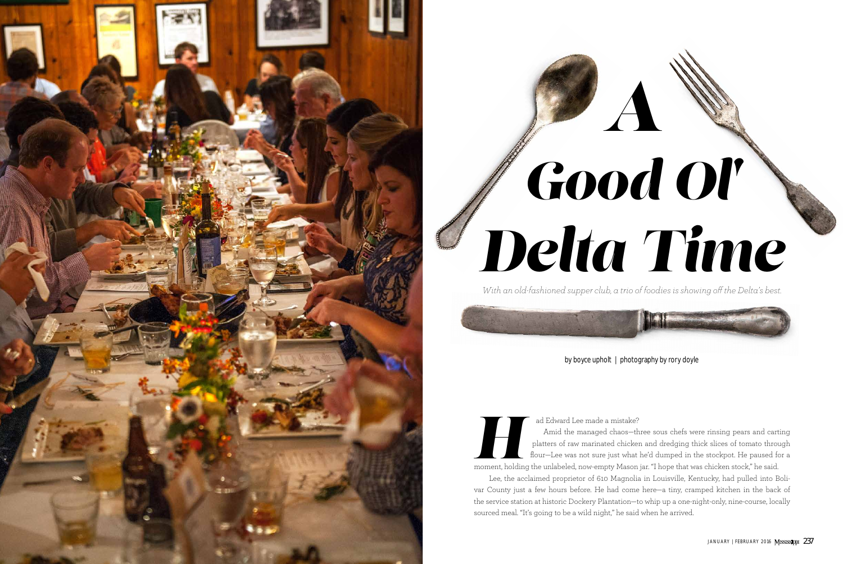

## *Good Ol' Delta Time*

by boyce upholt | photography by rory doyle

*With an old-fashioned supper club, a trio of foodies is showing off the Delta's best.*

 Lee, the acclaimed proprietor of 610 Magnolia in Louisville, Kentucky, had pulled into Boli var County just a few hours before. He had come here—a tiny, cramped kitchen in the back of the service station at historic Dockery Plantation—to whip up a one-night-only, nine-course, locally ad Edward Lee made a mistake?<br>
Amid the managed chaos—three sous chefs w<br>
platters of raw marinated chicken and dredging t<br>
flour—Lee was not sure just what he'd dumped in<br>
moment, holding the unlabeled, now-empty Mason ja





ad Edward Lee made a mistake? Amid the managed chaos—three sous chefs were rinsing pears and carting platters of raw marinated chicken and dredging thick slices of tomato through flour—Lee was not sure just what he'd dumped in the stockpot. He paused for a moment, holding the unlabeled, now-empty Mason jar. "I hope that was chicken stock," he said.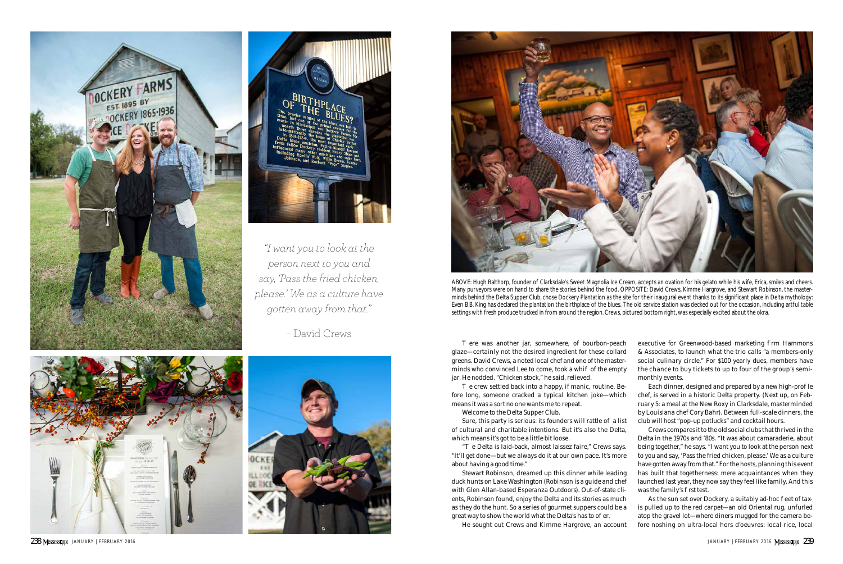ere was another jar, somewhere, of bourbon-peach glaze—certainly not the desired ingredient for these collard greens. David Crews, a noted local chef and one of the masterminds who convinced Lee to come, took a whipf of the empty jar. He nodded. "Chicken stock," he said, relieved.

e crew settled back into a happy, if manic, routine. Before long, someone cracked a typical kitchen joke—which means it was a sort no one wants me to repeat.

Sure, this party is serious: its founders will rattle  $o$  a list of cultural and charitable intentions. But it's also the Delta, which means it's got to be a little bit loose.

e Delta is laid-back, almost laissez faire," Crews says. "It'll get done—but we always do it at our own pace. It's more about having a good time."

Stewart Robinson, dreamed up this dinner while leading duck hunts on Lake Washington (Robinson is a guide and chef with Glen Allan-based Esperanza Outdoors). Out-of-state cli ents, Robinson found, enjoy the Delta and its stories as much as they do the hunt. So a series of gourmet suppers could be a great way to show the world what the Delta's has to o er.

Welcome to the Delta Supper Club.

executive for Greenwood-based marketing rm Hammons & Associates, to launch what the trio calls "a members-only social culinary circle." For \$100 yearly dues, members have the chance to buy tickets to up to four of the group's semimonthly events.

Each dinner, designed and prepared by a new high-pro le chef, is served in a historic Delta property. (Next up, on Feb ruary 5: a meal at the New Roxy in Clarksdale, masterminded by Louisiana chef Cory Bahr). Between full-scale dinners, the club will host "pop-up potlucks" and cocktail hours. Crews compares it to the old social clubs that thrived in the

Delta in the 1970s and '80s. "It was about camaraderie, about being together," he says. "I want you to look at the person next to you and say, 'Pass the fried chicken, please.' We as a culture have gotten away from that." For the hosts, planning this event has built that togetherness: mere acquaintances when they launched last year, they now say they feel like family. And this was the family's rst test.

He sought out Crews and Kimme Hargrove, an account

As the sun set over Dockery, a suitably ad-hoc eet of taxis pulled up to the red carpet—an old Oriental rug, unfurled atop the gravel lot—where diners mugged for the camera be fore noshing on ultra-local hors d'oeuvres: local rice, local





*"I want you to look at the person next to you and say, 'Pass the fried chicken, please.' We as a culture have gotten away from that."*

*–* David Crews







ABOVE: Hugh Balthorp, founder of Clarksdale's Sweet Magnolia Ice Cream, accepts an ovation for his gelato while his wife, Erica, smiles and cheers. Many purveyors were on hand to share the stories behind the food. OPPOSITE: David Crews, Kimme Hargrove, and Stewart Robinson, the master minds behind the Delta Supper Club, chose Dockery Plantation as the site for their inaugural event thanks to its significant place in Delta mythology: Even B.B. King has declared the plantation the birthplace of the blues. The old service station was decked out for the occasion, including artful table settings with fresh produce trucked in from around the region. Crews, pictured bottom right, was especially excited about the okra.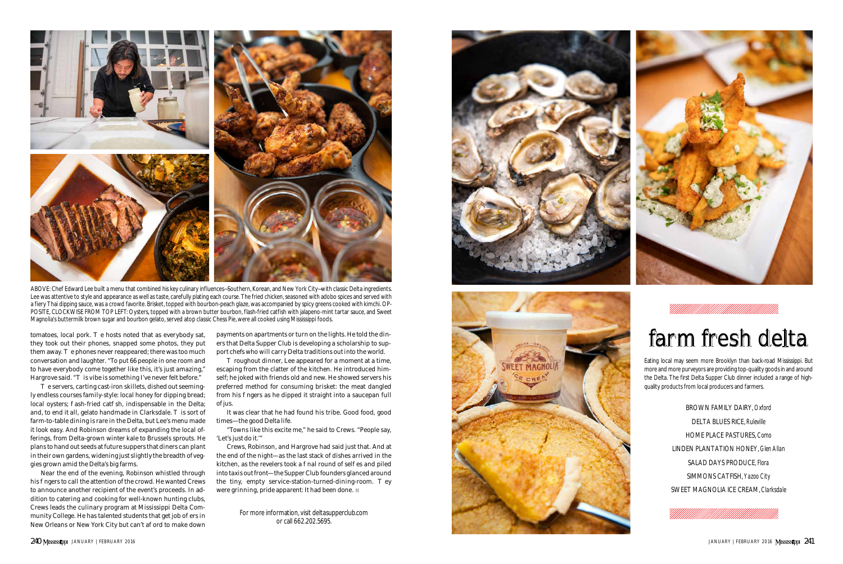



For more information, visit deltasupperclub.com or call 662.202.5695.



## farm fresh delta

Eating local may seem more Brooklyn than back-road Mississippi. But more and more purveyors are providing top-quality goods in and around the Delta. The first Delta Supper Club dinner included a range of highquality products from local producers and farmers.

> BROWN FAMILY DAIRY, Oxford DELTA BLUES RICE, Ruleville HOME PLACE PASTURES, Como LINDEN PLANTATION HONEY, Glen Allan SALAD DAYS PRODUCE, Flora SIMMONS CATFISH, Yazoo City SWEET MAGNOLIA ICE CREAM, Clarksdale



e servers, carting cast-iron skillets, dished out seemingly endless courses family-style: local honey for dipping bread; local oysters; ash-fried cat sh, indispensable in the Delta; and, to end it all, gelato handmade in Clarksdale. is sort of farm-to-table dining is rare in the Delta, but Lee's menu made it look easy. And Robinson dreams of expanding the local offerings, from Delta-grown winter kale to Brussels sprouts. He plans to hand out seeds at future suppers that diners can plant in their own gardens, widening just slightly the breadth of veggies grown amid the Delta's big farms.

Near the end of the evening, Robinson whistled through his ngers to call the attention of the crowd. He wanted Crews to announce another recipient of the event's proceeds. In addition to catering and cooking for well-known hunting clubs, Crews leads the culinary program at Mississippi Delta Community College. He has talented students that get job o ers in New Orleans or New York City but can't a ord to make down

roughout dinner, Lee appeared for a moment at a time, escaping from the clatter of the kitchen. He introduced himself; he joked with friends old and new. He showed servers his preferred method for consuming brisket: the meat dangled from his ngers as he dipped it straight into a saucepan full of jus.

payments on apartments or turn on the lights. He told the diners that Delta Supper Club is developing a scholarship to support chefs who will carry Delta traditions out into the world.

It was clear that he had found his tribe. Good food, good times—the good Delta life.

"Towns like this excite me," he said to Crews. "People say, 'Let's just do it.'"

Crews, Robinson, and Hargrove had said just that. And at the end of the night—as the last stack of dishes arrived in the kitchen, as the revelers took a nal round of sel es and piled into taxis out front—the Supper Club founders glanced around the tiny, empty service-station-turned-dining-room. ey were grinning, pride apparent: It had been done.



ABOVE: Chef Edward Lee built a menu that combined his key culinary influences—Southern, Korean, and New York City—with classic Delta ingredients. Lee was attentive to style and appearance as well as taste, carefully plating each course. The fried chicken, seasoned with adobo spices and served with a fiery Thai dipping sauce, was a crowd favorite. Brisket, topped with bourbon-peach glaze, was accompanied by spicy greens cooked with kimchi. OP - POSITE, CLOCKWISE FROM TOP LEFT: Oysters, topped with a brown butter bourbon, flash-fried catfish with jalapeno-mint tartar sauce, and Sweet Magnolia's buttermilk brown sugar and bourbon gelato, served atop classic Chess Pie, were all cooked using Mississippi foods.

tomatoes, local pork. e hosts noted that as everybody sat, they took out their phones, snapped some photos, they put them away. e phones never reappeared; there was too much conversation and laughter. "To put 66 people in one room and to have everybody come together like this, it's just amazing," Hargrove said. " is vibe is something I've never felt before."